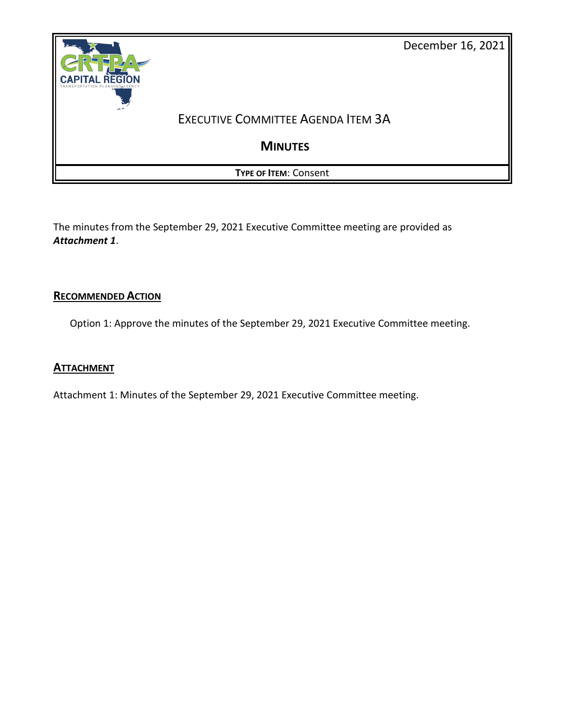December 16, 2021



# EXECUTIVE COMMITTEE AGENDA ITEM 3A

## **MINUTES**

**TYPE OF ITEM**: Consent

The minutes from the September 29, 2021 Executive Committee meeting are provided as *Attachment 1*.

### **RECOMMENDED ACTION**

Option 1: Approve the minutes of the September 29, 2021 Executive Committee meeting.

## **ATTACHMENT**

Attachment 1: Minutes of the September 29, 2021 Executive Committee meeting.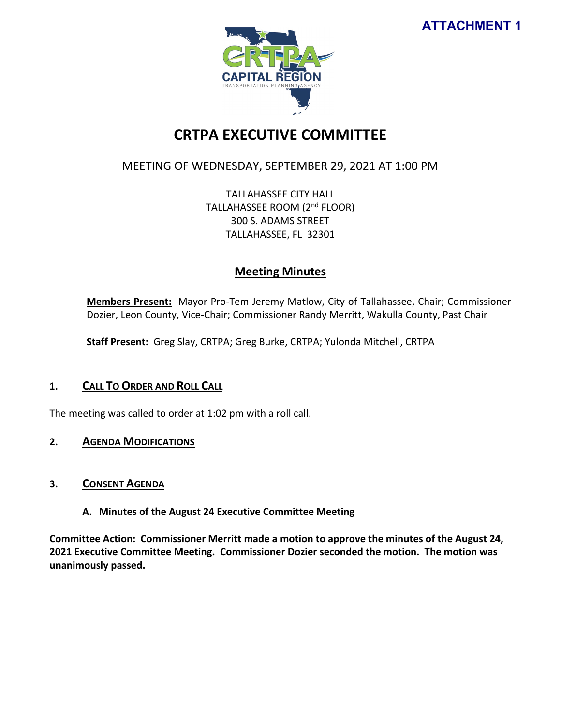# **ATTACHMENT 1**



# **CRTPA EXECUTIVE COMMITTEE**

# MEETING OF WEDNESDAY, SEPTEMBER 29, 2021 AT 1:00 PM

TALLAHASSEE CITY HALL TALLAHASSEE ROOM (2<sup>nd</sup> FLOOR) 300 S. ADAMS STREET TALLAHASSEE, FL 32301

## **Meeting Minutes**

**Members Present:** Mayor Pro-Tem Jeremy Matlow, City of Tallahassee, Chair; Commissioner Dozier, Leon County, Vice-Chair; Commissioner Randy Merritt, Wakulla County, Past Chair

**Staff Present:** Greg Slay, CRTPA; Greg Burke, CRTPA; Yulonda Mitchell, CRTPA

### **1. CALL TO ORDER AND ROLL CALL**

The meeting was called to order at 1:02 pm with a roll call.

### **2. AGENDA MODIFICATIONS**

#### **3. CONSENT AGENDA**

### **A. Minutes of the August 24 Executive Committee Meeting**

**Committee Action: Commissioner Merritt made a motion to approve the minutes of the August 24, 2021 Executive Committee Meeting. Commissioner Dozier seconded the motion. The motion was unanimously passed.**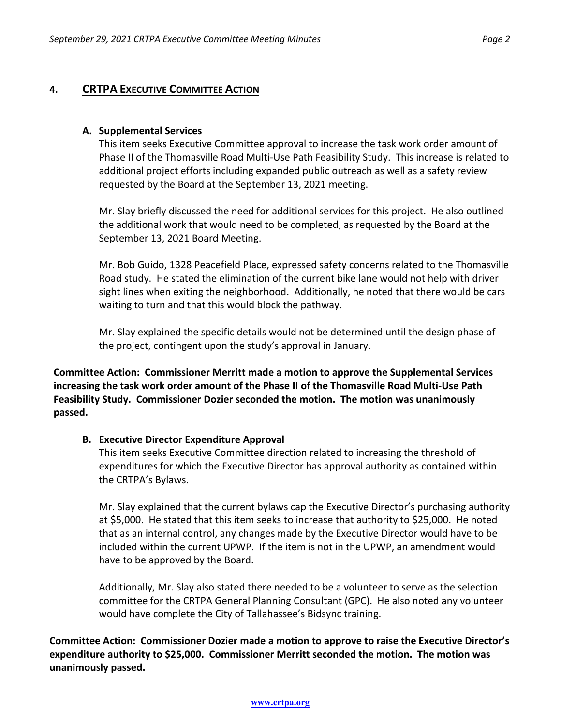## **4. CRTPA EXECUTIVE COMMITTEE ACTION**

#### **A. Supplemental Services**

This item seeks Executive Committee approval to increase the task work order amount of Phase II of the Thomasville Road Multi-Use Path Feasibility Study. This increase is related to additional project efforts including expanded public outreach as well as a safety review requested by the Board at the September 13, 2021 meeting.

Mr. Slay briefly discussed the need for additional services for this project. He also outlined the additional work that would need to be completed, as requested by the Board at the September 13, 2021 Board Meeting.

Mr. Bob Guido, 1328 Peacefield Place, expressed safety concerns related to the Thomasville Road study. He stated the elimination of the current bike lane would not help with driver sight lines when exiting the neighborhood. Additionally, he noted that there would be cars waiting to turn and that this would block the pathway.

Mr. Slay explained the specific details would not be determined until the design phase of the project, contingent upon the study's approval in January.

**Committee Action: Commissioner Merritt made a motion to approve the Supplemental Services increasing the task work order amount of the Phase II of the Thomasville Road Multi-Use Path Feasibility Study. Commissioner Dozier seconded the motion. The motion was unanimously passed.** 

#### **B. Executive Director Expenditure Approval**

This item seeks Executive Committee direction related to increasing the threshold of expenditures for which the Executive Director has approval authority as contained within the CRTPA's Bylaws.

Mr. Slay explained that the current bylaws cap the Executive Director's purchasing authority at \$5,000. He stated that this item seeks to increase that authority to \$25,000. He noted that as an internal control, any changes made by the Executive Director would have to be included within the current UPWP. If the item is not in the UPWP, an amendment would have to be approved by the Board.

Additionally, Mr. Slay also stated there needed to be a volunteer to serve as the selection committee for the CRTPA General Planning Consultant (GPC). He also noted any volunteer would have complete the City of Tallahassee's Bidsync training.

**Committee Action: Commissioner Dozier made a motion to approve to raise the Executive Director's expenditure authority to \$25,000. Commissioner Merritt seconded the motion. The motion was unanimously passed.**